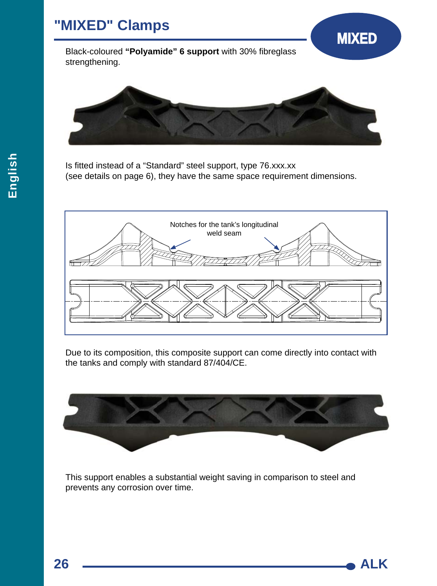## **"MIXED" Clamps**

Black-coloured "Polyamide" 6 support with 30% fibreglass strengthening.



Is fitted instead of a "Standard" steel support, type 76.xxx.xx (see details on page 6), they have the same space requirement dimensions.



Due to its composition, this composite support can come directly into contact with the tanks and comply with standard 87/404/CE.



This support enables a substantial weight saving in comparison to steel and prevents any corrosion over time.